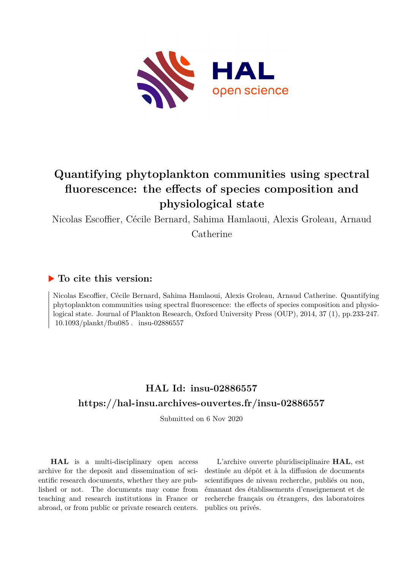

# **Quantifying phytoplankton communities using spectral fluorescence: the effects of species composition and physiological state**

Nicolas Escoffier, Cécile Bernard, Sahima Hamlaoui, Alexis Groleau, Arnaud

Catherine

# **To cite this version:**

Nicolas Escoffier, Cécile Bernard, Sahima Hamlaoui, Alexis Groleau, Arnaud Catherine. Quantifying phytoplankton communities using spectral fluorescence: the effects of species composition and physiological state. Journal of Plankton Research, Oxford University Press (OUP), 2014, 37 (1), pp.233-247.  $10.1093$ /plankt/fbu085. insu-02886557

# **HAL Id: insu-02886557 <https://hal-insu.archives-ouvertes.fr/insu-02886557>**

Submitted on 6 Nov 2020

**HAL** is a multi-disciplinary open access archive for the deposit and dissemination of scientific research documents, whether they are published or not. The documents may come from teaching and research institutions in France or abroad, or from public or private research centers.

L'archive ouverte pluridisciplinaire **HAL**, est destinée au dépôt et à la diffusion de documents scientifiques de niveau recherche, publiés ou non, émanant des établissements d'enseignement et de recherche français ou étrangers, des laboratoires publics ou privés.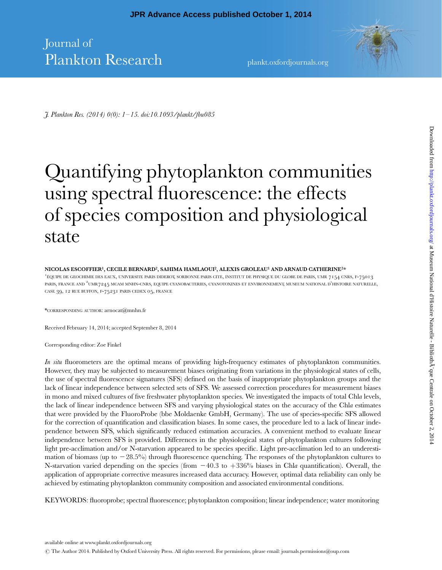# Journal of Plankton Research plankt.oxfordjournals.org

J. Plankton Res. (2014) 0(0): 1–15. doi:10.1093/plankt/fbu085

# Quantifying phytoplankton communities using spectral fluorescence: the effects of species composition and physiological state

#### NICOLAS ESCOFFIER1, CECILE BERNARD2, SAHIMA HAMLAOUI2, ALEXIS GROLEAU1 AND ARNAUD CATHERINE2\*

<sup>1</sup>ÉQUIPE DE GEOCHIMIE DES EAUX, UNIVERSITE PARIS DIDEROT, SORBONNE PARIS CITE, INSTITUT DE PHYSIQUE DU GLOBE DE PARIS, UMR 7154 CNRS, F-75013 PARIS, FRANCE AND <sup>2</sup>UMR7245 MCAM MNHN-CNRS, EQUIPE CYANOBACTERIES, CYANOTOXINES ET ENVIRONNEMENT, MUSEUM NATIONAL D'HISTOIRE NATURELLE, CASE 39, 12 RUE BUFFON, F-75231 PARIS CEDEX 05, FRANCE

\*CORRESPONDING AUTHOR: arnocat@mnhn.fr

Received February 14, 2014; accepted September 8, 2014

Corresponding editor: Zoe Finkel

In situ fluorometers are the optimal means of providing high-frequency estimates of phytoplankton communities. However, they may be subjected to measurement biases originating from variations in the physiological states of cells, the use of spectral fluorescence signatures (SFS) defined on the basis of inappropriate phytoplankton groups and the lack of linear independence between selected sets of SFS. We assessed correction procedures for measurement biases in mono and mixed cultures of five freshwater phytoplankton species. We investigated the impacts of total Chla levels, the lack of linear independence between SFS and varying physiological states on the accuracy of the Chla estimates that were provided by the FluoroProbe (bbe Moldaenke GmbH, Germany). The use of species-specific SFS allowed for the correction of quantification and classification biases. In some cases, the procedure led to a lack of linear independence between SFS, which significantly reduced estimation accuracies. A convenient method to evaluate linear independence between SFS is provided. Differences in the physiological states of phytoplankton cultures following light pre-acclimation and/or N-starvation appeared to be species specific. Light pre-acclimation led to an underestimation of biomass (up to  $-28.5\%$ ) through fluorescence quenching. The responses of the phytoplankton cultures to N-starvation varied depending on the species (from  $-40.3$  to  $+336\%$  biases in Chla quantification). Overall, the application of appropriate corrective measures increased data accuracy. However, optimal data reliability can only be achieved by estimating phytoplankton community composition and associated environmental conditions.

KEYWORDS: fluoroprobe; spectral fluorescence; phytoplankton composition; linear independence; water monitoring

available online at www.plankt.oxfordjournals.org

# The Author 2014. Published by Oxford University Press. All rights reserved. For permissions, please email: journals.permissions@oup.com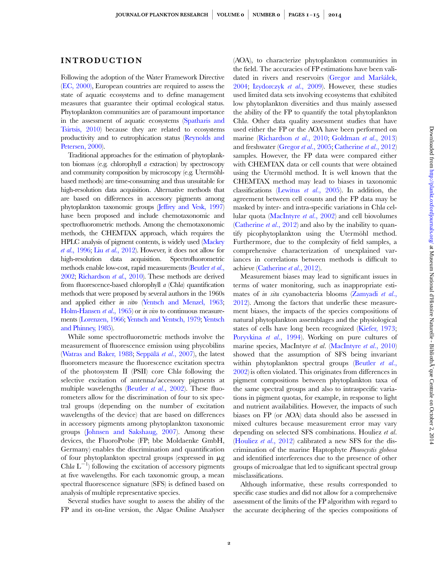# INTRODUCTION

Following the adoption of the Water Framework Directive (EC, 2000), European countries are required to assess the state of aquatic ecosystems and to define management measures that guarantee their optimal ecological status. Phytoplankton communities are of paramount importance in the assessment of aquatic ecosystems (Spatharis and Tsirtsis, 2010) because they are related to ecosystems productivity and to eutrophication status (Reynolds and Petersen, 2000).

Traditional approaches for the estimation of phytoplankton biomass (e.g. chlorophyll a extraction) by spectroscopy and community composition by microscopy (e.g. Utermöhlbased methods) are time-consuming and thus unsuitable for high-resolution data acquisition. Alternative methods that are based on differences in accessory pigments among phytoplankton taxonomic groups (Jeffrey and Vesk, 1997) have been proposed and include chemotaxonomic and spectrofluorometric methods. Among the chemotaxonomic methods, the CHEMTAX approach, which requires the HPLC analysis of pigment contents, is widely used (Mackey et al., 1996; Liu et al., 2012). However, it does not allow for high-resolution data acquisition. Spectrofluorometric methods enable low-cost, rapid measurements (Beutler et al., 2002; Richardson et al., 2010). These methods are derived from fluorescence-based chlorophyll a (Chla) quantification methods that were proposed by several authors in the 1960s and applied either in vitro (Yentsch and Menzel, 1963; Holm-Hansen *et al.*, 1965) or *in vivo* to continuous measurements (Lorenzen, 1966; Yentsch and Yentsch, 1979; Yentsch and Phinney, 1985).

While some spectrofluorometric methods involve the measurement of fluorescence emission using phycobilins (Watras and Baker, 1988; Seppalä et al., 2007), the latest fluorometers measure the fluorescence excitation spectra of the photosystem II (PSII) core Chla following the selective excitation of antenna/accessory pigments at multiple wavelengths (Beutler *et al.*, 2002). These fluorometers allow for the discrimination of four to six spectral groups (depending on the number of excitation wavelengths of the device) that are based on differences in accessory pigments among phytoplankton taxonomic groups (Johnsen and Sakshaug, 2007). Among these devices, the FluoroProbe (FP; bbe Moldaenke GmbH, Germany) enables the discrimination and quantification of four phytoplankton spectral groups (expressed in  $\mu$ g Chla  $L^{-1}$ ) following the excitation of accessory pigments at five wavelengths. For each taxonomic group, a mean spectral fluorescence signature (SFS) is defined based on analysis of multiple representative species.

Several studies have sought to assess the ability of the FP and its on-line version, the Algae Online Analyser

(AOA), to characterize phytoplankton communities in the field. The accuracies of FP estimations have been validated in rivers and reservoirs (Gregor and Maršálek, 2004; Izydorczyk et al., 2009). However, these studies used limited data sets involving ecosystems that exhibited low phytoplankton diversities and thus mainly assessed the ability of the FP to quantify the total phytoplankton Chla. Other data quality assessment studies that have used either the FP or the AOA have been performed on marine (Richardson et al., 2010; Goldman et al., 2013) and freshwater (Gregor et al., 2005; Catherine et al., 2012) samples. However, the FP data were compared either with CHEMTAX data or cell counts that were obtained using the Utermöhl method. It is well known that the CHEMTAX method may lead to biases in taxonomic classifications (Lewitus et al., 2005). In addition, the agreement between cell counts and the FP data may be masked by inter- and intra-specific variations in Chla cellular quota (MacIntyre et al., 2002) and cell biovolumes (Catherine et al., 2012) and also by the inability to quantify picophytoplankton using the Utermöhl method. Furthermore, due to the complexity of field samples, a comprehensive characterization of unexplained variances in correlations between methods is difficult to achieve (Catherine et al., 2012).

Measurement biases may lead to significant issues in terms of water monitoring, such as inappropriate estimates of *in situ* cyanobacteria blooms (Zamyadi et al., 2012). Among the factors that underlie these measurement biases, the impacts of the species compositions of natural phytoplankton assemblages and the physiological states of cells have long been recognized (Kiefer, 1973; Poryvkina et al., 1994). Working on pure cultures of marine species, MacIntyre et al. (MacIntyre et al., 2010) showed that the assumption of SFS being invariant within phytoplankton spectral groups (Beutler et al., 2002) is often violated. This originates from differences in pigment compositions between phytoplankton taxa of the same spectral groups and also to intraspecific variations in pigment quotas, for example, in response to light and nutrient availabilities. However, the impacts of such biases on FP (or AOA) data should also be assessed in mixed cultures because measurement error may vary depending on selected SFS combinations. Houliez et al. (Houliez et al., 2012) calibrated a new SFS for the discrimination of the marine Haptophyte Phaeocystis globosa and identified interferences due to the presence of other groups of microalgae that led to significant spectral group misclassifications.

Although informative, these results corresponded to specific case studies and did not allow for a comprehensive assessment of the limits of the FP algorithm with regard to the accurate deciphering of the species compositions of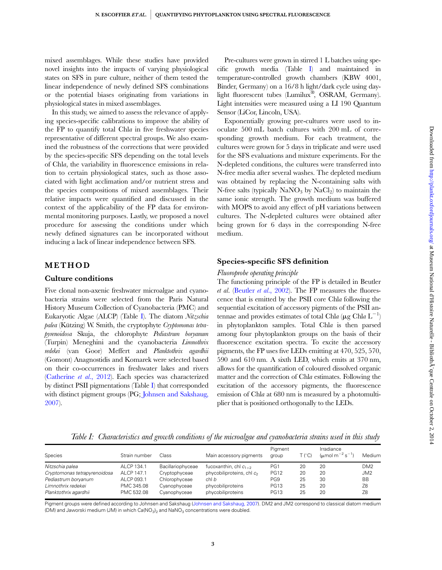mixed assemblages. While these studies have provided novel insights into the impacts of varying physiological states on SFS in pure culture, neither of them tested the linear independence of newly defined SFS combinations or the potential biases originating from variations in physiological states in mixed assemblages.

In this study, we aimed to assess the relevance of applying species-specific calibrations to improve the ability of the FP to quantify total Chla in five freshwater species representative of different spectral groups. We also examined the robustness of the corrections that were provided by the species-specific SFS depending on the total levels of Chla, the variability in fluorescence emissions in relation to certain physiological states, such as those associated with light acclimation and/or nutrient stress and the species compositions of mixed assemblages. Their relative impacts were quantified and discussed in the context of the applicability of the FP data for environmental monitoring purposes. Lastly, we proposed a novel procedure for assessing the conditions under which newly defined signatures can be incorporated without inducing a lack of linear independence between SFS.

# METHOD

#### Culture conditions

Five clonal non-axenic freshwater microalgae and cyanobacteria strains were selected from the Paris Natural History Museum Collection of Cyanobacteria (PMC) and Eukaryotic Algae (ALCP) (Table I). The diatom Nitzschia palea (Kützing) W. Smith, the cryptophyte Cryptomonas tetrapyrenoidosa Skuja, the chlorophyte Pediastrum boryanum (Turpin) Meneghini and the cyanobacteria Limnothrix redekei (van Goor) Meffert and Planktothrix agardhii (Gomont) Anagnostidis and Komarek were selected based on their co-occurrences in freshwater lakes and rivers (Catherine et al., 2012). Each species was characterized by distinct PSII pigmentations (Table  $\Gamma$ ) that corresponded with distinct pigment groups (PG; Johnsen and Sakshaug, 2007).

Pre-cultures were grown in stirred 1 L batches using specific growth media (Table I) and maintained in temperature-controlled growth chambers (KBW 4001, Binder, Germany) on a 16/8 h light/dark cycle using daylight fluorescent tubes (Lumilux®, OSRAM, Germany). Light intensities were measured using a LI 190 Quantum Sensor (LiCor, Lincoln, USA).

Exponentially growing pre-cultures were used to inoculate 500 mL batch cultures with 200 mL of corresponding growth medium. For each treatment, the cultures were grown for 5 days in triplicate and were used for the SFS evaluations and mixture experiments. For the N-depleted conditions, the cultures were transferred into N-free media after several washes. The depleted medium was obtained by replacing the N-containing salts with N-free salts (typically  $\text{NaNO}_3$  by  $\text{NaCl}_2$ ) to maintain the same ionic strength. The growth medium was buffered with MOPS to avoid any effect of pH variations between cultures. The N-depleted cultures were obtained after being grown for 6 days in the corresponding N-free medium.

### Species-specific SFS definition

#### Fluoroprobe operating principle

The functioning principle of the FP is detailed in Beutler et al. (Beutler et al., 2002). The FP measures the fluorescence that is emitted by the PSII core Chla following the sequential excitation of accessory pigments of the PSII antennae and provides estimates of total Chla  $(\mu g Chla L^{-1})$ in phytoplankton samples. Total Chla is then parsed among four phytoplankton groups on the basis of their fluorescence excitation spectra. To excite the accessory pigments, the FP uses five LEDs emitting at 470, 525, 570, 590 and 610 nm. A sixth LED, which emits at 370 nm, allows for the quantification of coloured dissolved organic matter and the correction of Chla estimates. Following the excitation of the accessory pigments, the fluorescence emission of Chla at 680 nm is measured by a photomultiplier that is positioned orthogonally to the LEDs.

Table I: Characteristics and growth conditions of the microalgae and cyanobacteria strains used in this study

| Species                                                                                      | Strain number                                        | Class                                                               | Main accessory pigments                                                                  | Pigment<br>aroup                         | T (°C)               | Irradiance<br>( $\mu$ mol m <sup>-2</sup> s <sup>-1</sup> ) | Medium                              |
|----------------------------------------------------------------------------------------------|------------------------------------------------------|---------------------------------------------------------------------|------------------------------------------------------------------------------------------|------------------------------------------|----------------------|-------------------------------------------------------------|-------------------------------------|
| Nitzschia palea<br>Cryptomonas tetrapyrenoidosa<br>Pediastrum boryanum<br>Limnothrix redekei | ALCP 134.1<br>ALCP 147.1<br>ALCP 093.1<br>PMC 345.08 | Bacillariophyceae<br>Cryptophyceae<br>Chlorophyceae<br>Cyanophyceae | fucoxanthin, chl $c_{1+2}$<br>phycobiliproteins, chl $c_2$<br>chl b<br>phycobiliproteins | PG1<br><b>PG12</b><br>PG9<br><b>PG13</b> | 20<br>20<br>25<br>25 | 20<br>20<br>30<br>20                                        | DM <sub>2</sub><br>JM2<br>BB.<br>Z8 |
| Planktothrix agardhii                                                                        | PMC 532.08                                           | Cyanophyceae                                                        | phycobiliproteins                                                                        | <b>PG13</b>                              | 25                   | 20                                                          | Z8                                  |

Pigment groups were defined according to Johnsen and Sakshaug (Johnsen and Sakshaug, 2007). DM2 and JM2 correspond to classical diatom medium (DM) and Jaworski medium (JM) in which  $Ca(NO<sub>3</sub>)<sub>2</sub>$  and  $NaNO<sub>3</sub>$  concentrations were doubled.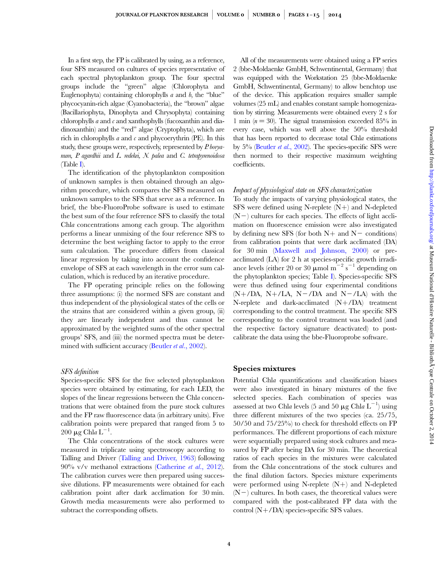In a first step, the FP is calibrated by using, as a reference, four SFS measured on cultures of species representative of each spectral phytoplankton group. The four spectral groups include the "green" algae (Chlorophyta and Euglenophyta) containing chlorophylls  $a$  and  $b$ , the "blue" phycocyanin-rich algae (Cyanobacteria), the "brown" algae (Bacillariophyta, Dinophyta and Chrysophyta) containing chlorophylls  $a$  and  $c$  and xanthophylls (fucoxanthin and diadinoxanthin) and the "red" algae (Cryptophyta), which are rich in chlorophylls a and c and phycoerythrin (PE). In this study, these groups were, respectively, represented by  $P$  boryanum, P. agardhii and L. redekei, N. palea and C. tetrapyrenoidosa (Table I).

The identification of the phytoplankton composition of unknown samples is then obtained through an algorithm procedure, which compares the SFS measured on unknown samples to the SFS that serve as a reference. In brief, the bbe-FluoroProbe software is used to estimate the best sum of the four reference SFS to classify the total Chla concentrations among each group. The algorithm performs a linear unmixing of the four reference SFS to determine the best weighing factor to apply to the error sum calculation. The procedure differs from classical linear regression by taking into account the confidence envelope of SFS at each wavelength in the error sum calculation, which is reduced by an iterative procedure.

The FP operating principle relies on the following three assumptions: (i) the normed SFS are constant and thus independent of the physiological states of the cells or the strains that are considered within a given group, (ii) they are linearly independent and thus cannot be approximated by the weighted sums of the other spectral groups' SFS, and (iii) the normed spectra must be determined with sufficient accuracy (Beutler et al., 2002).

#### SFS definition

Species-specific SFS for the five selected phytoplankton species were obtained by estimating, for each LED, the slopes of the linear regressions between the Chla concentrations that were obtained from the pure stock cultures and the FP raw fluorescence data (in arbitrary units). Five calibration points were prepared that ranged from 5 to 200 μg Chl $a$ L<sup>-1</sup>.

The Chla concentrations of the stock cultures were measured in triplicate using spectroscopy according to Talling and Driver (Talling and Driver, 1963) following 90% v/v methanol extractions (Catherine et al., 2012). The calibration curves were then prepared using successive dilutions. FP measurements were obtained for each calibration point after dark acclimation for 30 min. Growth media measurements were also performed to subtract the corresponding offsets.

All of the measurements were obtained using a FP series 2 (bbe-Moldaenke GmbH, Schwentinental, Germany) that was equipped with the Workstation 25 (bbe-Moldaenke GmbH, Schwentinental, Germany) to allow benchtop use of the device. This application requires smaller sample volumes (25 mL) and enables constant sample homogenization by stirring. Measurements were obtained every 2 s for 1 min ( $n = 30$ ). The signal transmission exceeded 85% in every case, which was well above the 50% threshold that has been reported to decrease total Chla estimations by  $5\%$  (Beutler *et al.*, 2002). The species-specific SFS were then normed to their respective maximum weighting coefficients.

#### Impact of physiological state on SFS characterization

To study the impacts of varying physiological states, the SFS were defined using N-replete  $(N+)$  and N-depleted  $(N-)$  cultures for each species. The effects of light acclimation on fluorescence emission were also investigated by defining new SFS (for both  $N+$  and  $N-$  conditions) from calibration points that were dark acclimated (DA) for 30 min (Maxwell and Johnson, 2000) or preacclimated (LA) for 2 h at species-specific growth irradiance levels (either 20 or 30  $\mu$ mol m<sup>-2</sup> s<sup>-1</sup> depending on the phytoplankton species; Table I). Species-specific SFS were thus defined using four experimental conditions  $(N+/DA, N+/LA, N-/DA$  and  $N-/LA$ ) with the N-replete and dark-acclimated  $(N+/DA)$  treatment corresponding to the control treatment. The specific SFS corresponding to the control treatment was loaded (and the respective factory signature deactivated) to postcalibrate the data using the bbe-Fluoroprobe software.

# Species mixtures

Potential Chla quantifications and classification biases were also investigated in binary mixtures of the five selected species. Each combination of species was assessed at two Chla levels (5 and 50  $\mu$ g Chla L<sup>-1</sup>) using three different mixtures of the two species (ca. 25/75, 50/50 and 75/25%) to check for threshold effects on FP performances. The different proportions of each mixture were sequentially prepared using stock cultures and measured by FP after being DA for 30 min. The theoretical ratios of each species in the mixtures were calculated from the Chla concentrations of the stock cultures and the final dilution factors. Species mixture experiments were performed using N-replete  $(N+)$  and N-depleted  $(N-)$  cultures. In both cases, the theoretical values were compared with the post-calibrated FP data with the control  $(N+/DA)$  species-specific SFS values.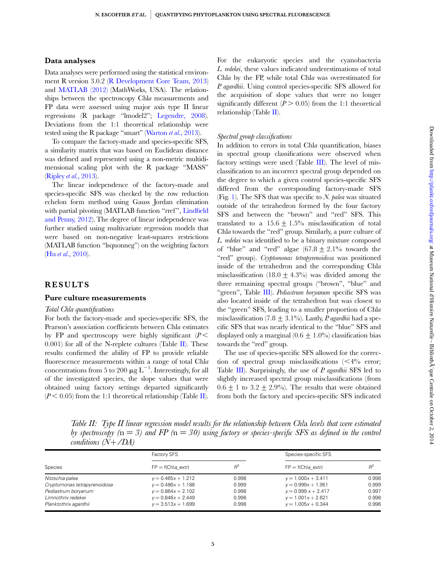## Data analyses

Data analyses were performed using the statistical environment R version 3.0.2 (R Development Core Team, 2013) and MATLAB (2012) (MathWorks, USA). The relationships between the spectroscopy Chla measurements and FP data were assessed using major axis type II linear regressions (R package "lmodel2"; Legendre, 2008). Deviations from the 1:1 theoretical relationship were tested using the R package "smart" (Warton et al., 2013).

To compare the factory-made and species-specific SFS, a similarity matrix that was based on Euclidean distance was defined and represented using a non-metric multidimensional scaling plot with the R package "MASS" (Ripley et al., 2013).

The linear independence of the factory-made and species-specific SFS was checked by the row reduction echelon form method using Gauss Jordan elimination with partial pivoting (MATLAB function "rref", Lindfield and Penny, 2012). The degree of linear independence was further studied using multivariate regression models that were based on non-negative least-squares restrictions (MATLAB function "lsqnonneg") on the weighting factors (Hu *et al.*, 2010).

## RESULTS

# Pure culture measurements

#### Total Chla quantifications

For both the factory-made and species-specific SFS, the Pearson's association coefficients between Chla estimates by FP and spectroscopy were highly significant  $(P \leq$ 0.001) for all of the N-replete cultures (Table  $\Pi$ ). These results confirmed the ability of FP to provide reliable fluorescence measurements within a range of total Chla concentrations from 5 to 200  $\mu$ g L<sup>-1</sup>. Interestingly, for all of the investigated species, the slope values that were obtained using factory settings departed significantly  $(P < 0.05)$  from the 1:1 theoretical relationship (Table II).

For the eukaryotic species and the cyanobacteria L. redekei, these values indicated underestimations of total Chla by the FP, while total Chla was overestimated for P. agardhii. Using control species-specific SFS allowed for the acquisition of slope values that were no longer significantly different  $(P > 0.05)$  from the 1:1 theoretical relationship (Table II).

## Spectral group classifications

In addition to errors in total Chla quantification, biases in spectral group classifications were observed when factory settings were used (Table  $III$ ). The level of misclassification to an incorrect spectral group depended on the degree to which a given control species-specific SFS differed from the corresponding factory-made SFS (Fig. 1). The SFS that was specific to  $N$ . palea was situated outside of the tetrahedron formed by the four factory SFS and between the "brown" and "red" SFS. This translated to a  $15.6 \pm 1.5\%$  misclassification of total Chla towards the "red" group. Similarly, a pure culture of L. redekei was identified to be a binary mixture composed of "blue" and "red" algae  $(67.8 + 2.1\%$  towards the "red" group). Cryptomonas tetrapyrenoidosa was positioned inside of the tetrahedron and the corresponding Chla misclassification (18.0  $\pm$  4.3%) was divided among the three remaining spectral groups ("brown", "blue" and "green", Table III). Pediastrum borvanum specific SFS was also located inside of the tetrahedron but was closest to the "green" SFS, leading to a smaller proportion of Chla misclassification (7.8  $\pm$  3.1%). Lastly, *P. agardhii* had a specific SFS that was nearly identical to the "blue" SFS and displayed only a marginal  $(0.6 \pm 1.0\%)$  classification bias towards the "red" group.

The use of species-specific SFS allowed for the correction of spectral group misclassifications  $\langle \leq 4\%$  error; Table  $III$ ). Surprisingly, the use of *P. agardhii* SFS led to slightly increased spectral group misclassifications (from  $0.6+1$  to  $3.2+2.9%$ ). The results that were obtained from both the factory and species-specific SFS indicated

Table II: Type II linear regression model results for the relationship between Chla levels that were estimated by spectroscopy  $(n = 3)$  and FP  $(n = 30)$  using factory or species-specific SFS as defined in the control conditions  $(N+/DA)$ 

|                              | Factory SFS          |       | Species-specific SFS  |       |  |
|------------------------------|----------------------|-------|-----------------------|-------|--|
| Species                      | $FP = f(Chla extr)$  | R2    | $FP = f(Chla extr)$   | $R^2$ |  |
| Nitzschia palea              | $v = 0.465x + 1.212$ | 0.998 | $v = 1.000x + 3.411$  | 0.998 |  |
| Cryptomonas tetrapyrenoidosa | $v = 0.486x + 1.188$ | 0.999 | $v = 0.999x + 1.951$  | 0.999 |  |
| Pediastrum boryanum          | $v = 0.864x + 2.102$ | 0.998 | $v = 0.999 x + 2.417$ | 0.997 |  |
| Limnothrix redekei           | $y = 0.846x + 2.449$ | 0.998 | $v = 1.001x + 2.621$  | 0.998 |  |
| Planktothrix agardhii        | $v = 3.513x + 1.699$ | 0.998 | $v = 1.005x + 0.344$  | 0.996 |  |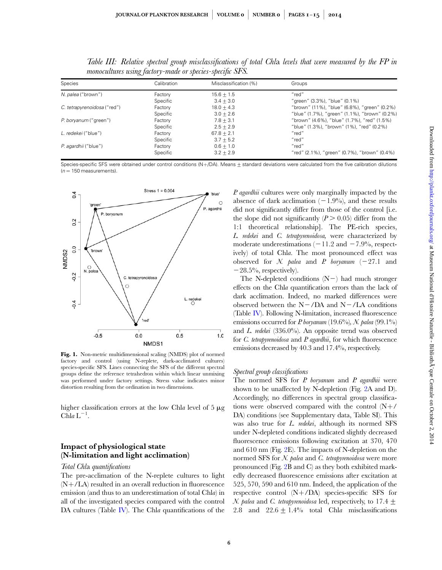| Species                     | Calibration | Misclassification (%) | Groups                                        |
|-----------------------------|-------------|-----------------------|-----------------------------------------------|
| N. palea ("brown")          | Factory     | $15.6 + 1.5$          | "red"                                         |
|                             | Specific    | $3.4 + 3.0$           | "green" (3.3%), "blue" (0.1%)                 |
| C. tetrapyrenoidosa ("red") | Factory     | $18.0 + 4.3$          | "brown" (11%), "blue" (6.8%), "green" (0.2%)  |
|                             | Specific    | $3.0 + 2.6$           | "blue" (1.7%), "green" (1.1%), "brown" (0.2%) |
| P. boryanum ("green")       | Factory     | $7.8 + 3.1$           | "brown" (4.6%), "blue" (1.7%), "red" (1.5%)   |
|                             | Specific    | $2.5 + 2.9$           | "blue" (1.3%), "brown" (1%), "red" (0.2%)     |
| L. redekei ("blue")         | Factory     | $67.8 + 2.1$          | "red"                                         |
|                             | Specific    | $3.7 + 5.2$           | "red"                                         |
| P. agardhii ("blue")        | Factory     | $0.6 + 1.0$           | "red"                                         |
|                             | Specific    | $3.2 + 2.9$           | "red" (2.1%), "green" (0.7%), "brown" (0.4%)  |

Table III: Relative spectral group misclassifications of total Chla levels that were measured by the FP in monocultures using factory-made or species-specific SFS.

Species-specific SFS were obtained under control conditions (N+/DA). Means  $\pm$  standard deviations were calculated from the five calibration dilutions  $(n = 150$  measurements)



Fig. 1. Non-metric multidimensional scaling (NMDS) plot of normed factory and control (using N-replete, dark-acclimated cultures) species-specific SFS. Lines connecting the SFS of the different spectral groups define the reference tetrahedron within which linear unmixing was performed under factory settings. Stress value indicates minor distortion resulting from the ordination in two dimensions.

higher classification errors at the low Chla level of  $5 \mu$ g Chla  $L^{-1}$ .

# Impact of physiological state (N-limitation and light acclimation)

#### Total Chla quantifications

The pre-acclimation of the N-replete cultures to light  $(N+/LA)$  resulted in an overall reduction in fluorescence emission (and thus to an underestimation of total Chla) in all of the investigated species compared with the control DA cultures (Table IV). The Chla quantifications of the

P. agardhii cultures were only marginally impacted by the absence of dark acclimation  $(-1.9\%)$ , and these results did not significantly differ from those of the control [i.e. the slope did not significantly  $(P > 0.05)$  differ from the 1:1 theoretical relationship]. The PE-rich species, L. redekei and C. tetrapyrenoidosa, were characterized by moderate underestimations  $(-11.2$  and  $-7.9\%$ , respectively) of total Chla. The most pronounced effect was observed for N. palea and P. boryanum  $(-27.1$  and  $-28.5\%$ , respectively).

The N-depleted conditions  $(N-)$  had much stronger effects on the Chla quantification errors than the lack of dark acclimation. Indeed, no marked differences were observed between the  $N-<sub>/DA</sub>$  and  $N-<sub>/LA</sub>$  conditions (Table IV). Following N-limitation, increased fluorescence emissions occurred for P. boryanum (19.6%), N. palea (99.1%) and L. redekei (336.0%). An opposite trend was observed for C. tetrapyrenoidosa and P. agardhii, for which fluorescence emissions decreased by 40.3 and 17.4%, respectively.

# Spectral group classifications

The normed SFS for  $P$  boryanum and  $P$  agardhii were shown to be unaffected by N-depletion (Fig. 2A and D). Accordingly, no differences in spectral group classifications were observed compared with the control  $(N+/-)$ DA) conditions (see [Supplementary data, Table SI](http://plankt.oxfordjournals.org/lookup/suppl/doi:10.1093/plankt/fbu085/-/DC1)). This was also true for L. redekei, although its normed SFS under N-depleted conditions indicated slightly decreased fluorescence emissions following excitation at 370, 470 and 610 nm (Fig. 2E). The impacts of N-depletion on the normed SFS for N. palea and C. tetrapyrenoidosa were more pronounced (Fig. 2B and C) as they both exhibited markedly decreased fluorescence emissions after excitation at 525, 570, 590 and 610 nm. Indeed, the application of the respective control  $(N+/DA)$  species-specific SFS for N. palea and C. tetrapyrenoidosa led, respectively, to  $17.4 \pm$ 2.8 and  $22.6 \pm 1.4\%$  total Chla misclassifications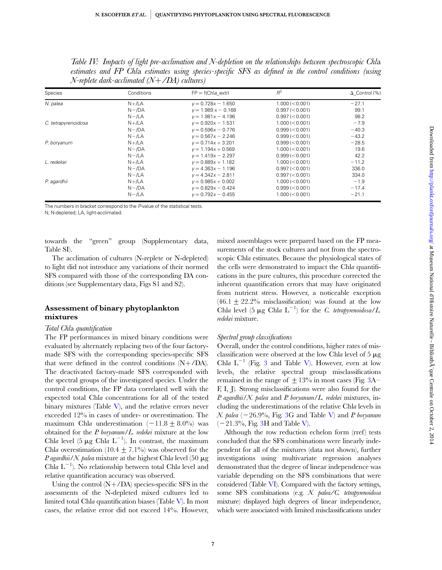| Species             | Conditions  | $FP = f(Chla extr)$   | $R^2$                 | $\Delta$ Control (%) |
|---------------------|-------------|-----------------------|-----------------------|----------------------|
| N. palea            | $N+/LA$     | $y = 0.728x - 1.650$  | $1.000 \, (< 0.001)$  | $-27.1$              |
|                     | $N - /DA$   | $v = 1.989 x - 0.168$ | $0.997 \, (< 0.001)$  | 99.1                 |
|                     | $N - / LA$  | $v = 1.981x - 4.196$  | 0.997 (< 0.001        | 98.2                 |
| C. tetrapyrenoidosa | $N+/LA$     | $v = 0.920x - 1.531$  | $1.000 \, (< 0.001)$  | $-7.9$               |
|                     | $N - /DA$   | $v = 0.596x - 0.776$  | 0.999 (< 0.001)       | $-40.3$              |
|                     | $N - / LA$  | $v = 0.567x - 2.246$  | $0.999 \, (< 0.001)$  | $-43.2$              |
| P. boryanum         | $N+/LA$     | $y = 0.714x + 3.201$  | 0.999 (< 0.001)       | $-28.5$              |
|                     | $N - /DA$   | $v = 1.194x + 0.569$  | $1.000 \, (< 0.001)$  | 19.6                 |
|                     | $N - / L$ A | $y = 1.419x - 2.297$  | 0.999 (< 0.001)       | 42.2                 |
| L. redekei          | $N+/LA$     | $v = 0.889x + 1.182$  | $1.000 \, (< 0.001)$  | $-11.2$              |
|                     | $N - /DA$   | $v = 4.363x - 1.196$  | $0.997 \,(< \,0.001)$ | 336.0                |
|                     | $N - / L$ A | $y = 4.342x - 2.811$  | $0.997 \, (< 0.001)$  | 334.0                |
| P. agardhii         | $N+/LA$     | $y = 0.985x + 0.002$  | $1.000 \, (< 0.001)$  | $-1.9$               |
|                     | $N - /DA$   | $y = 0.829x - 0.424$  | $0.999 \, (< 0.001)$  | $-17.4$              |
|                     | $N - / L$ A | $v = 0.792x - 0.455$  | $1.000 \, (< 0.001)$  | $-21.1$              |

Table IV: Impacts of light pre-acclimation and N-depletion on the relationships between spectroscopic Chla estimates and FP Chla estimates using species-specific SFS as defined in the control conditions (using  $N$ -replete dark-acclimated  $(N+$  /DA) cultures)

The numbers in bracket correspond to the P-value of the statistical tests.

N, N-depleted; LA, light-acclimated.

towards the "green" group [\(Supplementary data,](http://plankt.oxfordjournals.org/lookup/suppl/doi:10.1093/plankt/fbu085/-/DC1) [Table SI\)](http://plankt.oxfordjournals.org/lookup/suppl/doi:10.1093/plankt/fbu085/-/DC1).

The acclimation of cultures (N-replete or N-depleted) to light did not introduce any variations of their normed SFS compared with those of the corresponding DA conditions (see [Supplementary data, Figs S1 and S2](http://plankt.oxfordjournals.org/lookup/suppl/doi:10.1093/plankt/fbu085/-/DC1)).

# Assessment of binary phytoplankton mixtures

#### Total Chla quantification

The FP performances in mixed binary conditions were evaluated by alternately replacing two of the four factorymade SFS with the corresponding species-specific SFS that were defined in the control conditions  $(N+/DA)$ . The deactivated factory-made SFS corresponded with the spectral groups of the investigated species. Under the control conditions, the FP data correlated well with the expected total Chla concentrations for all of the tested binary mixtures (Table  $V$ ), and the relative errors never exceeded 12% in cases of under- or overestimation. The maximum Chla underestimation  $(-11.8 + 8.0\%)$  was obtained for the  $P$  boryanum/L. redekei mixture at the low Chla level (5  $\mu$ g Chla L<sup>-1</sup>). In contrast, the maximum Chla overestimation  $(10.4 + 7.1\%)$  was observed for the P. agardhii/N. palea mixture at the highest Chla level (50  $\mu$ g) Chla  $L^{-1}$ ). No relationship between total Chla level and relative quantification accuracy was observed.

Using the control  $(N+/DA)$  species-specific SFS in the assessments of the N-depleted mixed cultures led to limited total Chla quantification biases (Table V). In most cases, the relative error did not exceed 14%. However, mixed assemblages were prepared based on the FP measurements of the stock cultures and not from the spectroscopic Chla estimates. Because the physiological states of the cells were demonstrated to impact the Chla quantifications in the pure cultures, this procedure corrected the inherent quantification errors that may have originated from nutrient stress. However, a noticeable exception  $(46.1 + 22.2\%$  misclassification) was found at the low Chla level  $(5 \mu g$  Chla  $L^{-1}$ ) for the *C. tetrapyrenoidosa/L.* redekei mixture.

#### Spectral group classifications

Overall, under the control conditions, higher rates of misclassification were observed at the low Chla level of 5  $\mu$ g Chla  $L^{-1}$  (Fig. 3 and Table V). However, even at low levels, the relative spectral group misclassifications remained in the range of  $\pm$  13% in most cases (Fig. 3A– F, I, J). Strong misclassifications were also found for the P. agardhii/N. palea and P. boryanum/L. redekei mixtures, including the underestimations of the relative Chla levels in N. palea ( $-26.9%$ , Fig. 3G and Table V) and P. boryanum  $(-21.3\%,$  Fig. 3H and Table V).

Although the row reduction echelon form (rref) tests concluded that the SFS combinations were linearly independent for all of the mixtures (data not shown), further investigations using multivariate regression analyses demonstrated that the degree of linear independence was variable depending on the SFS combinations that were considered (Table VI). Compared with the factory settings, some SFS combinations (e.g. N. palea/C. tetrapyrenoidosa mixture) displayed high degrees of linear independence, which were associated with limited misclassifications under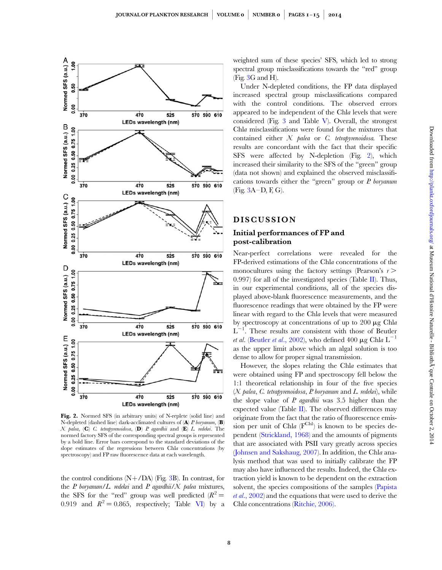

Fig. 2. Normed SFS (in arbitrary units) of N-replete (solid line) and N-depleted (dashed line) dark-acclimated cultures of  $(A)$  P boryanum,  $(B)$ N. palea,  $(C)$  C. tetrapyrenoidosa,  $(D)$  P. agardhii and  $(E)$  L. redekei. The normed factory SFS of the corresponding spectral groups is represented by a bold line. Error bars correspond to the standard deviations of the slope estimates of the regressions between Chla concentrations (by spectroscopy) and FP raw fluorescence data at each wavelength.

the control conditions  $(N+/DA)$  (Fig. 3B). In contrast, for the  $P$  boryanum/L. redekei and  $P$  agardhii/N. palea mixtures, the SFS for the "red" group was well predicted  $(R^2 =$ 0.919 and  $R^2 = 0.865$ , respectively; Table VI) by a

weighted sum of these species' SFS, which led to strong spectral group misclassifications towards the "red" group (Fig. 3G and H).

Under N-depleted conditions, the FP data displayed increased spectral group misclassifications compared with the control conditions. The observed errors appeared to be independent of the Chla levels that were considered (Fig. 3 and Table V). Overall, the strongest Chla misclassifications were found for the mixtures that contained either N. palea or C. tetrapyrenoidosa. These results are concordant with the fact that their specific SFS were affected by N-depletion (Fig. 2), which increased their similarity to the SFS of the "green" group (data not shown) and explained the observed misclassifications towards either the "green" group or  $P$  boryanum (Fig.  $3A-D$ , F, G).

# DISCUSSION

# Initial performances of FP and post-calibration

Near-perfect correlations were revealed for the FP-derived estimations of the Chla concentrations of the monocultures using the factory settings (Pearson's  $r >$ 0.997) for all of the investigated species (Table  $II$ ). Thus, in our experimental conditions, all of the species displayed above-blank fluorescence measurements, and the fluorescence readings that were obtained by the FP were linear with regard to the Chla levels that were measured by spectroscopy at concentrations of up to 200  $\mu$ g Chla  $L^{-1}$ . These results are consistent with those of Beutler *et al.* (Beutler *et al.*, 2002), who defined 400  $\mu$ g Chla L<sup>-1</sup> as the upper limit above which an algal solution is too dense to allow for proper signal transmission.

However, the slopes relating the Chla estimates that were obtained using FP and spectroscopy fell below the 1:1 theoretical relationship in four of the five species  $(N.$  palea,  $C.$  tetrapyrenoidosa,  $P.$  boryanum and  $L.$  redekei), while the slope value of  $P$  agardhii was 3.5 higher than the expected value (Table II). The observed differences may originate from the fact that the ratio of fluorescence emission per unit of Chla  $(F^{Chl})$  is known to be species dependent (Strickland, 1968) and the amounts of pigments that are associated with PSII vary greatly across species (Johnsen and Sakshaug, 2007). In addition, the Chla analysis method that was used to initially calibrate the FP may also have influenced the results. Indeed, the Chla extraction yield is known to be dependent on the extraction solvent, the species compositions of the samples (Papista et al., 2002) and the equations that were used to derive the Chla concentrations (Ritchie, 2006).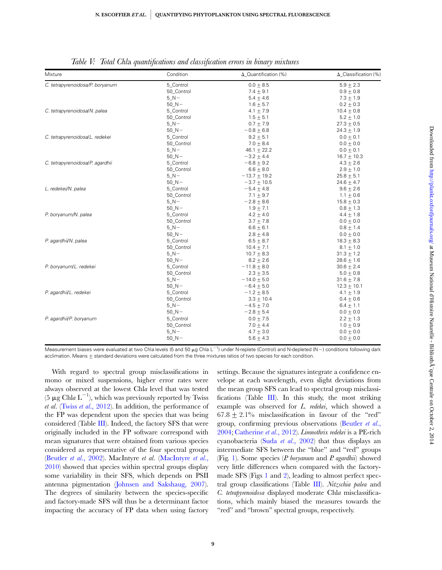| Mixture                         | Condition                                                                                                                                                                                                | $\Delta$ Quantification (%) | $\Delta$ _Classification (%) |
|---------------------------------|----------------------------------------------------------------------------------------------------------------------------------------------------------------------------------------------------------|-----------------------------|------------------------------|
| C. tetrapyrenoidosa/P. boryanum | 5_Control                                                                                                                                                                                                | $0.0 \pm 8.5$               | $5.9 \pm 2.3$                |
|                                 | 50_Control                                                                                                                                                                                               | $7.4 \pm 9.1$               | $0.9 \pm 0.8$                |
|                                 | $5 N -$                                                                                                                                                                                                  | $5.4 + 4.6$                 | $7.3 \pm 1.9$                |
|                                 | $50$ _N $-$                                                                                                                                                                                              | $1.6 \pm 5.7$               | $0.2 \pm 0.3$                |
| C. tetrapyrenoidosa/N. palea    | 5 Control                                                                                                                                                                                                | 4.1 $\pm$ 7.9               | $10.4 \pm 0.8$               |
|                                 | 50 Control                                                                                                                                                                                               | $1.5 + 5.1$                 | $5.2 + 1.0$                  |
|                                 | $5$ <sub>-N</sub> $-$                                                                                                                                                                                    | $0.7 \pm 7.9$               | $27.3 \pm 0.5$               |
|                                 | $50 N -$                                                                                                                                                                                                 | $-0.8 \pm 6.8$              | $24.3 \pm 1.9$               |
| C. tetrapyrenoidosa/L. redekei  | 5 Control                                                                                                                                                                                                | $9.2 + 5.1$                 | $0.0 \pm 0.1$                |
|                                 | 50_Control                                                                                                                                                                                               | $7.0 \pm 8.4$               | $0.0 \pm 0.0$                |
|                                 | $5 N -$                                                                                                                                                                                                  | $46.1 \pm 22.2$             | $0.0 \pm 0.1$                |
|                                 | $50 N -$                                                                                                                                                                                                 | $-3.2 + 4.4$                | $16.7 \pm 10.3$              |
| C. tetrapyrenoidosa/P. agardhii | 5_Control                                                                                                                                                                                                | $-6.8 + 9.2$                | $4.3 \pm 2.6$                |
|                                 | 50_Control                                                                                                                                                                                               | $6.6 + 8.0$                 | $2.9 \pm 1.0$                |
|                                 | $5 N -$                                                                                                                                                                                                  | $-13.7 + 19.2$              | $25.8 + 5.1$                 |
|                                 | $50$ _N $-$                                                                                                                                                                                              | $-3.7 \pm 10.5$             | $24.6 \pm 4.7$               |
| L. redekei/N. palea             | 5 Control                                                                                                                                                                                                | $-5.4 \pm 4.8$              | $9.6 \pm 2.6$                |
|                                 | 50 Control                                                                                                                                                                                               | $7.1 + 9.7$                 | $1.1 + 0.6$                  |
|                                 | $5$ <sub>-N</sub> $-$                                                                                                                                                                                    | $-2.8 \pm 8.6$              | $15.8 \pm 0.3$               |
|                                 | $50 N -$                                                                                                                                                                                                 | $1.9 + 7.1$                 | $0.8 \pm 1.3$                |
| P. boryanum/N. palea            | 5_Control                                                                                                                                                                                                | $4.2 \pm 4.0$               | $4.4 \pm 1.8$                |
|                                 | 50_Control                                                                                                                                                                                               | $3.7 \pm 7.8$               | $0.0 \pm 0.0$                |
|                                 | $5 N -$                                                                                                                                                                                                  | $6.6 \pm 6.1$               | $0.8 \pm 1.4$                |
|                                 | $50$ _N $-$                                                                                                                                                                                              | $2.8 \pm 4.8$               | $0.0 \pm 0.0$                |
| P. agardhii/N. palea            | 5 Control                                                                                                                                                                                                | $6.5 \pm 8.7$               | $18.3 \pm 8.3$               |
|                                 | 50_Control<br>$10.4 + 7.1$<br>$8.1 \pm 1.0$<br>$5$ <sub>-N</sub> $-$<br>$10.7 + 8.3$<br>$31.3 \pm 1.2$<br>$50$ _N $-$<br>$8.2 \pm 2.6$<br>$28.6 \pm 1.6$<br>$-11.8 + 8.0$<br>5 Control<br>$30.6 \pm 2.4$ |                             |                              |
|                                 |                                                                                                                                                                                                          |                             |                              |
|                                 |                                                                                                                                                                                                          |                             |                              |
| P. boryanum/L. redekei          |                                                                                                                                                                                                          |                             |                              |
|                                 | 50_Control                                                                                                                                                                                               | $2.3 \pm 3.5$               | $5.0 \pm 0.8$                |
|                                 | $5$ <sub>-N</sub> $-$                                                                                                                                                                                    | $-14.0 \pm 5.0$             | $31.6 \pm 7.8$               |
|                                 | $50 N -$                                                                                                                                                                                                 | $-6.4 + 5.0$                | $12.3 + 10.1$                |
| P. agardhii/L. redekei          | 5_Control                                                                                                                                                                                                | $-1.2 \pm 8.5$              | $4.1 \pm 1.9$                |
|                                 | 50_Control                                                                                                                                                                                               | $3.3 \pm 10.4$              | $0.4 \pm 0.6$                |
|                                 | $5 N -$                                                                                                                                                                                                  | $-4.5 + 7.0$                | $6.4 \pm 1.1$                |
|                                 | $50$ _N $-$                                                                                                                                                                                              | $-2.8 \pm 5.4$              | $0.0 \pm 0.0$                |
| P. agardhii/P. boryanum         | 5 Control                                                                                                                                                                                                | $0.0 + 7.5$                 | $2.2 \pm 1.3$                |
|                                 | 50 Control                                                                                                                                                                                               | $7.0 \pm 4.4$               | $1.0 \pm 0.9$                |
|                                 | $5$ <sub>-N</sub> $-$                                                                                                                                                                                    | $4.7 \pm 3.0$               | $0.0 \pm 0.0$                |
|                                 | $50$ _N $-$                                                                                                                                                                                              | $5.6 \pm 4.3$               | $0.0 \pm 0.0$                |

Table V: Total Chla quantifications and classification errors in binary mixtures

Measurement biases were evaluated at two Chla levels (5 and 50  $\mu$ g Chla L<sup>-1</sup>) under N-replete (Control) and N-depleted (N-) conditions following dark acclimation. Means + standard deviations were calculated from the three mixtures ratios of two species for each condition.

With regard to spectral group misclassifications in mono or mixed suspensions, higher error rates were always observed at the lowest Chla level that was tested (5  $\mu$ g Chla L<sup>-1</sup>), which was previously reported by Twiss et al. (Twiss et al., 2012). In addition, the performance of the FP was dependent upon the species that was being considered (Table III). Indeed, the factory SFS that were originally included in the FP software correspond with mean signatures that were obtained from various species considered as representative of the four spectral groups (Beutler et al., 2002). MacIntyre et al. (MacIntyre et al., 2010) showed that species within spectral groups display some variability in their SFS, which depends on PSII antenna pigmentation (Johnsen and Sakshaug, 2007). The degrees of similarity between the species-specific and factory-made SFS will thus be a determinant factor impacting the accuracy of FP data when using factory

settings. Because the signatures integrate a confidence envelope at each wavelength, even slight deviations from the mean group SFS can lead to spectral group misclassifications (Table III). In this study, the most striking example was observed for L. redekei, which showed a  $67.8 \pm 2.1\%$  misclassification in favour of the "red" group, confirming previous observations (Beutler et al., 2004; Catherine et al., 2012). Limnothrix redekei is a PE-rich cyanobacteria (Suda et al., 2002) that thus displays an intermediate SFS between the "blue" and "red" groups (Fig. 1). Some species  $(P.$  boryanum and  $P.$  agardhii) showed very little differences when compared with the factorymade SFS (Figs 1 and 2), leading to almost perfect spectral group classifications (Table III). Nitzschia palea and C. tetrapyrenoidosa displayed moderate Chla misclassifications, which mainly biased the measures towards the "red" and "brown" spectral groups, respectively.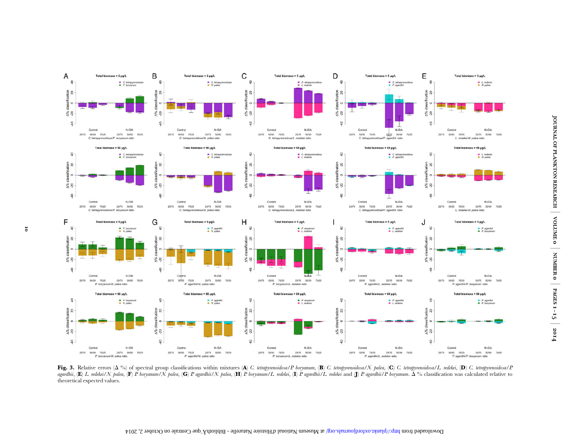

Fig. 3. Relative errors  $(\Delta^0)$  of spectral group classifications within mixtures  $(\mathbf{A})$  C. tetrapyrenoidosa/P. boryanum,  $(\mathbf{B})$  C. tetrapyrenoidosa/N. palea,  $(\mathbf{C})$  C. tetrapyrenoidosa/L. redekei,  $(\mathbf{D})$  C. tetra agardhii,  $(E)$  L. redekei/N. palea,  $(F)$  P. boryanum/N. palea,  $(G)$  P. agardhii/N. palea,  $(H)$  P. boryanum/L. redekei,  $(I)$  P. agardhii/L. redekei and  $(I)$  P. agardhii/L. boryanum.  $\Delta$ % classification was calculated rela theoretical expected values.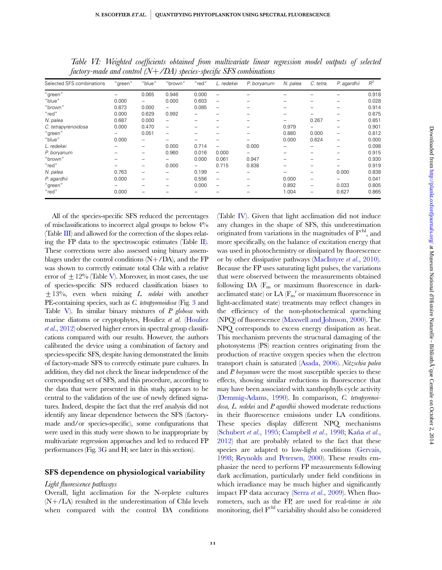| Selected SFS combinations | "green" | "blue" | "brown" | "red" | L. redekei               | P. boryanum | N. palea                 | C. tetra.                | P. agardhii | $R^2$ |
|---------------------------|---------|--------|---------|-------|--------------------------|-------------|--------------------------|--------------------------|-------------|-------|
| "green"                   |         | 0.065  | 0.946   | 0.000 | -                        | -           |                          |                          | -           | 0.918 |
| "blue"                    | 0.000   | -      | 0.000   | 0.603 | -                        | -           | -                        | $\sim$                   | -           | 0.028 |
| "brown"                   | 0.873   | 0.000  | -       | 0.085 | -                        | -           | -                        | $\overline{\phantom{a}}$ | -           | 0.914 |
| "red"                     | 0.000   | 0.629  | 0.992   |       | -                        | -           | -                        | -                        | -           | 0.675 |
| N. palea                  | 0.687   | 0.000  | -       |       | -                        | -           | $\overline{\phantom{0}}$ | 0.267                    | -           | 0.851 |
| C. tetrapyrenoidosa       | 0.000   | 0.470  | -       |       |                          | -           | 0.979                    | $\overline{\phantom{0}}$ | -           | 0.901 |
| "green"                   |         | 0.051  | -       |       |                          | -           | 0.880                    | 0.000                    | -           | 0.812 |
| "blue"                    | 0.000   |        |         |       |                          |             | 0.000                    | 0.624                    | -           | 0.000 |
| L. redekei                |         | -      | 0.000   | 0.714 |                          | 0.000       | -                        | $\sim$                   | -           | 0.098 |
| P. boryanum               |         | -      | 0.960   | 0.016 | 0.000                    | -           |                          | $\overline{\phantom{a}}$ | -           | 0.915 |
| "brown"                   |         |        | -       | 0.000 | 0.061                    | 0.947       |                          |                          | -           | 0.930 |
| "red"                     |         | -      | 0.000   |       | 0.715                    | 0.838       |                          |                          |             | 0.919 |
| N. palea                  | 0.763   |        |         | 0.199 | -                        | -           |                          |                          | 0.000       | 0.838 |
| P. agardhii               | 0.000   | -      | -       | 0.556 | $\overline{\phantom{0}}$ | -           | 0.000                    | $\overline{\phantom{a}}$ | -           | 0.041 |
| "green"                   |         |        | -       | 0.000 | $\overline{\phantom{0}}$ | -           | 0.892                    | $\overline{\phantom{0}}$ | 0.033       | 0.805 |
| "red"                     | 0.000   |        |         |       |                          |             | 1.004                    | -                        | 0.627       | 0.865 |

Table VI: Weighted coefficients obtained from multivariate linear regression model outputs of selected factory-made and control  $(N+/DA)$  species-specific SFS combinations

All of the species-specific SFS reduced the percentages of misclassifications to incorrect algal groups to below 4% (Table III) and allowed for the correction of the slopes relating the FP data to the spectroscopic estimates (Table II). These corrections were also assessed using binary assemblages under the control conditions  $(N+/DA)$ , and the FP was shown to correctly estimate total Chla with a relative error of  $\pm$  12% (Table V). Moreover, in most cases, the use of species-specific SFS reduced classification biases to  $\pm 13\%$ , even when mixing *L. redekei* with another PE-containing species, such as C. tetrapyrenoidosa (Fig. 3 and Table V). In similar binary mixtures of  $P$  globosa with marine diatoms or cryptophytes, Houliez et al. (Houliez et al., 2012) observed higher errors in spectral group classifications compared with our results. However, the authors calibrated the device using a combination of factory and species-specific SFS, despite having demonstrated the limits of factory-made SFS to correctly estimate pure cultures. In addition, they did not check the linear independence of the corresponding set of SFS, and this procedure, according to the data that were presented in this study, appears to be central to the validation of the use of newly defined signatures. Indeed, despite the fact that the rref analysis did not identify any linear dependence between the SFS (factorymade and/or species-specific), some configurations that were used in this study were shown to be inappropriate by multivariate regression approaches and led to reduced FP performances (Fig. 3G and H; see later in this section).

# SFS dependence on physiological variability

## Light fluorescence pathways

Overall, light acclimation for the N-replete cultures  $(N+/LA)$  resulted in the underestimation of Chla levels when compared with the control DA conditions

(Table IV). Given that light acclimation did not induce any changes in the shape of SFS, this underestimation originated from variations in the magnitudes of F<sup>chl</sup>, and more specifically, on the balance of excitation energy that was used in photochemistry or dissipated by fluorescence or by other dissipative pathways (MacIntyre et al., 2010). Because the FP uses saturating light pulses, the variations that were observed between the measurements obtained following DA  $(F_m$  or maximum fluorescence in darkacclimated state) or LA  $(F_m)$  or maximum fluorescence in light-acclimated state) treatments may reflect changes in the efficiency of the non-photochemical quenching (NPQ) of fluorescence (Maxwell and Johnson, 2000). The NPQ corresponds to excess energy dissipation as heat. This mechanism prevents the structural damaging of the photosystems (PS) reaction centres originating from the production of reactive oxygen species when the electron transport chain is saturated (Asada, 2006). Nitzschia palea and *P. boryanum* were the most susceptible species to these effects, showing similar reductions in fluorescence that may have been associated with xanthophylls cycle activity (Demmig-Adams, 1990). In comparison, C. tetrapyrenoidosa, L. redekei and P. agardhii showed moderate reductions in their fluorescence emissions under LA conditions. These species display different NPQ mechanisms (Schubert et al., 1995; Campbell et al., 1998; Kaňa et al., 2012) that are probably related to the fact that these species are adapted to low-light conditions (Gervais, 1998; Reynolds and Petersen, 2000). These results emphasize the need to perform FP measurements following dark acclimation, particularly under field conditions in which irradiance may be much higher and significantly impact FP data accuracy (Serra *et al.*, 2009). When fluorometers, such as the FP, are used for real-time in situ monitoring, diel  $F<sup>chl</sup>$  variability should also be considered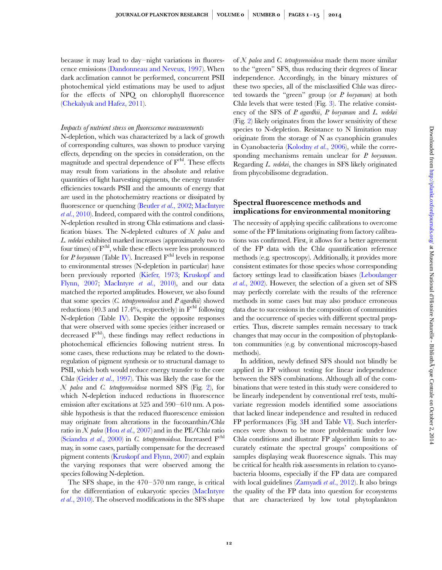because it may lead to day-night variations in fluorescence emissions (Dandonneau and Neveux, 1997). When dark acclimation cannot be performed, concurrent PSII photochemical yield estimations may be used to adjust for the effects of NPQ on chlorophyll fluorescence (Chekalyuk and Hafez, 2011).

# Impacts of nutrient stress on fluorescence measurements

N-depletion, which was characterized by a lack of growth of corresponding cultures, was shown to produce varying effects, depending on the species in consideration, on the magnitude and spectral dependence of F<sup>chl</sup>. These effects may result from variations in the absolute and relative quantities of light harvesting pigments, the energy transfer efficiencies towards PSII and the amounts of energy that are used in the photochemistry reactions or dissipated by fluorescence or quenching (Beutler et al., 2002; MacIntyre et al., 2010). Indeed, compared with the control conditions, N-depletion resulted in strong Chla estimations and classification biases. The N-depleted cultures of  $N$ . palea and L. redekei exhibited marked increases (approximately two to four times) of  $F<sup>ch</sup>$ , while these effects were less pronounced for P boryanum (Table IV). Increased  $F<sup>chl</sup>$  levels in response to environmental stresses (N-depletion in particular) have been previously reported (Kiefer, 1973; Kruskopf and Flynn, 2007; MacIntyre et al., 2010), and our data matched the reported amplitudes. However, we also found that some species  $(C. \text{ tetrapyrenoidosa}$  and  $P. \text{agardhiù}$  showed reductions  $(40.3 \text{ and } 17.4\%$ , respectively) in  $\text{F}^{\text{ch}}$  following N-depletion (Table IV). Despite the opposite responses that were observed with some species (either increased or decreased  $F<sup>chl</sup>$ , these findings may reflect reductions in photochemical efficiencies following nutrient stress. In some cases, these reductions may be related to the downregulation of pigment synthesis or to structural damage to PSII, which both would reduce energy transfer to the core Chla (Geider et al., 1997). This was likely the case for the N. palea and C. tetrapyrenoidosa normed SFS (Fig. 2), for which N-depletion induced reductions in fluorescence emission after excitations at 525 and 590–610 nm. A possible hypothesis is that the reduced fluorescence emission may originate from alterations in the fucoxanthin/Chla ratio in N. palea (Hou et al., 2007) and in the PE/Chla ratio (Sciandra et al., 2000) in C. tetrapyrenoidosa. Increased  $F<sup>chl</sup>$ may, in some cases, partially compensate for the decreased pigment contents (Kruskopf and Flynn, 2007) and explain the varying responses that were observed among the species following N-depletion.

The SFS shape, in the  $470 - 570$  nm range, is critical for the differentiation of eukaryotic species (MacIntyre et al., 2010). The observed modifications in the SFS shape of N. palea and C. tetrapyrenoidosa made them more similar to the "green" SFS, thus reducing their degrees of linear independence. Accordingly, in the binary mixtures of these two species, all of the misclassified Chla was directed towards the "green" group (or  $P$  boryanum) at both Chla levels that were tested (Fig. 3). The relative consistency of the SFS of P. agardhii, P. boryanum and L. redekei (Fig. 2) likely originates from the lower sensitivity of these species to N-depletion. Resistance to N limitation may originate from the storage of N as cyanophicin granules in Cyanobacteria (Kolodny et al., 2006), while the corresponding mechanisms remain unclear for P. boryanum. Regarding L. redekei, the changes in SFS likely originated from phycobilisome degradation.

# Spectral fluorescence methods and implications for environmental monitoring

The necessity of applying specific calibrations to overcome some of the FP limitations originating from factory calibrations was confirmed. First, it allows for a better agreement of the FP data with the Chla quantification reference methods (e.g. spectroscopy). Additionally, it provides more consistent estimates for those species whose corresponding factory settings lead to classification biases (Leboulanger et al., 2002). However, the selection of a given set of SFS may perfectly correlate with the results of the reference methods in some cases but may also produce erroneous data due to successions in the composition of communities and the occurrence of species with different spectral properties. Thus, discrete samples remain necessary to track changes that may occur in the composition of phytoplankton communities (e.g. by conventional microscopy-based methods).

In addition, newly defined SFS should not blindly be applied in FP without testing for linear independence between the SFS combinations. Although all of the combinations that were tested in this study were considered to be linearly independent by conventional rref tests, multivariate regression models identified some associations that lacked linear independence and resulted in reduced FP performances (Fig. 3H and Table VI). Such interferences were shown to be more problematic under low Chla conditions and illustrate FP algorithm limits to accurately estimate the spectral groups' compositions of samples displaying weak fluorescence signals. This may be critical for health risk assessments in relation to cyanobacteria blooms, especially if the FP data are compared with local guidelines (Zamyadi et al., 2012). It also brings the quality of the FP data into question for ecosystems that are characterized by low total phytoplankton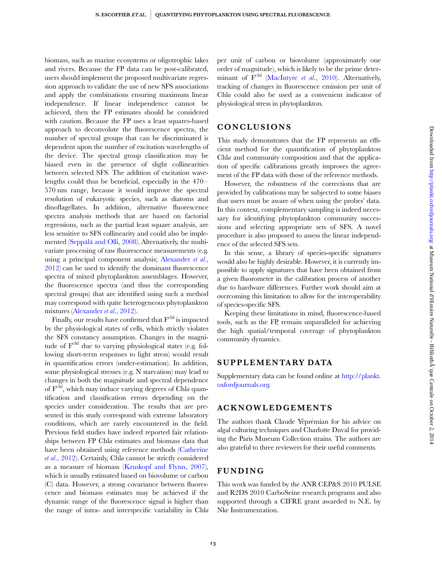biomass, such as marine ecosystems or oligotrophic lakes and rivers. Because the FP data can be post-calibrated, users should implement the proposed multivariate regression approach to validate the use of new SFS associations and apply the combinations ensuring maximum linear independence. If linear independence cannot be achieved, then the FP estimates should be considered with caution. Because the FP uses a least squares-based approach to deconvolute the fluorescence spectra, the number of spectral groups that can be discriminated is dependent upon the number of excitation wavelengths of the device. The spectral group classification may be biased even in the presence of slight collinearities between selected SFS. The addition of excitation wavelengths could thus be beneficial, especially in the 470– 570 nm range, because it would improve the spectral resolution of eukaryotic species, such as diatoms and dinoflagellates. In addition, alternative fluorescence spectra analysis methods that are based on factorial regressions, such as the partial least square analysis, are less sensitive to SFS collinearity and could also be implemented (Seppälä and Olli, 2008). Alternatively, the multivariate processing of raw fluorescence measurements (e.g. using a principal component analysis; Alexander et al., 2012) can be used to identify the dominant fluorescence spectra of mixed phytoplankton assemblages. However, the fluorescence spectra (and thus the corresponding spectral groups) that are identified using such a method may correspond with quite heterogeneous phytoplankton mixtures (Alexander et al., 2012).

Finally, our results have confirmed that  $F<sup>chl</sup>$  is impacted by the physiological states of cells, which strictly violates the SFS constancy assumption. Changes in the magnitude of  $F<sup>chl</sup>$  due to varying physiological states (e.g. following short-term responses to light stress) would result in quantification errors (under-estimation). In addition, some physiological stresses (e.g. N starvation) may lead to changes in both the magnitude and spectral dependence of  $F<sup>chl</sup>$ , which may induce varying degrees of Chla quantification and classification errors depending on the species under consideration. The results that are presented in this study correspond with extreme laboratory conditions, which are rarely encountered in the field. Previous field studies have indeed reported fair relationships between FP Chla estimates and biomass data that have been obtained using reference methods (Catherine et al., 2012). Certainly, Chla cannot be strictly considered as a measure of biomass (Kruskopf and Flynn, 2007), which is usually estimated based on biovolume or carbon (C) data. However, a strong covariance between fluorescence and biomass estimates may be achieved if the dynamic range of the fluorescence signal is higher than the range of intra- and interspecific variability in Chla per unit of carbon or biovolume (approximately one order of magnitude), which is likely to be the prime determinant of  $F<sup>chl</sup>$  (MacIntyre *et al.*, 2010). Alternatively, tracking of changes in fluorescence emission per unit of Chla could also be used as a convenient indicator of physiological stress in phytoplankton.

# CONCLUSIONS

This study demonstrates that the FP represents an efficient method for the quantification of phytoplankton Chla and community composition and that the application of specific calibrations greatly improves the agreement of the FP data with those of the reference methods.

However, the robustness of the corrections that are provided by calibrations may be subjected to some biases that users must be aware of when using the probes' data. In this context, complementary sampling is indeed necessary for identifying phytoplankton community successions and selecting appropriate sets of SFS. A novel procedure is also proposed to assess the linear independence of the selected SFS sets.

In this sense, a library of species-specific signatures would also be highly desirable. However, it is currently impossible to apply signatures that have been obtained from a given fluorometer in the calibration process of another due to hardware differences. Further work should aim at overcoming this limitation to allow for the interoperability of species-specific SFS.

Keeping these limitations in mind, fluorescence-based tools, such as the FP, remain unparalleled for achieving the high spatial/temporal coverage of phytoplankton community dynamics.

# SUPPLEMENTARY DATA

[Supplementary data can be found online at](http://plankt.oxfordjournals.org/lookup/suppl/doi:10.1093/plankt/fbu085/-/DC1) [http://plankt.](http://plankt.oxfordjournals.org) [oxfordjournals.org.](http://plankt.oxfordjournals.org)

# ACKNOWLEDGEMENTS

The authors thank Claude Yéprémian for his advice on algal culturing techniques and Charlotte Duval for providing the Paris Museum Collection strains. The authors are also grateful to three reviewers for their useful comments.

# FUNDING

This work was funded by the ANR CEP&S 2010 PULSE and R2DS 2010 CarboSeine research programs and also supported through a CIFRE grant awarded to N.E. by Nke Instrumentation.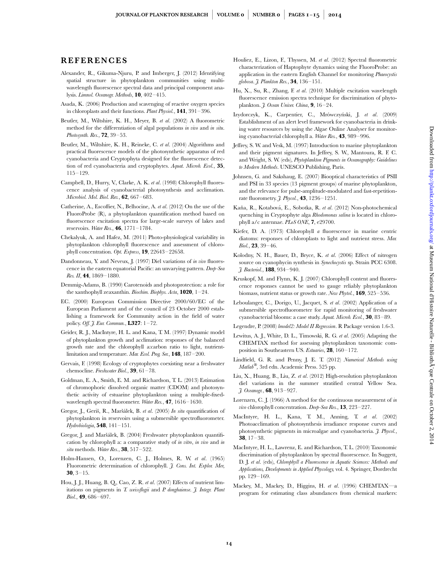# **REFERENCES**

- Alexander, R., Gikuma-Njuru, P. and Imberger, J. (2012) Identifying spatial structure in phytoplankton communities using multiwavelength fluorescence spectral data and principal component analysis. Limnol. Oceanogr. Methods, 10, 402-415.
- Asada, K. (2006) Production and scavenging of reactive oxygen species in chloroplasts and their functions. Plant Physiol., **141**, 391–396.
- Beutler, M., Wiltshire, K. H., Meyer, B. et al. (2002) A fluorometric method for the differentiation of algal populations in vivo and in situ. Photosynth. Res.,  $72.39 - 53.$
- Beutler, M., Wiltshire, K. H., Reineke, C. et al. (2004) Algorithms and practical fluorescence models of the photosynthetic apparatus of red cyanobacteria and Cryptophyta designed for the fluorescence detection of red cyanobacteria and cryptophytes. Aquat. Microb. Ecol., 35, 115–129.
- Campbell, D., Hurry, V., Clarke, A. K. et al. (1998) Chlorophyll fluorescence analysis of cyanobacterial photosynthesis and acclimation. Microbiol. Mol. Biol. Rev., 62, 667–683.
- Catherine, A., Escoffier, N., Belhocine, A. et al. (2012) On the use of the FluoroProbe (R), a phytoplankton quantification method based on fluorescence excitation spectra for large-scale surveys of lakes and reservoirs. Water Res., 46, 1771– 1784.
- Chekalyuk, A. and Hafez, M. (2011) Photo-physiological variability in phytoplankton chlorophyll fluorescence and assessment of chlorophyll concentration. Opt. Express, 19, 22643–22658.
- Dandonneau, Y. and Neveux, J. (1997) Diel variations of in vivo fluorescence in the eastern equatorial Pacific: an unvarying pattern. Deep-Sea Res. II, 44, 1869–1880.
- Demmig-Adams, B. (1990) Carotenoids and photoprotection: a role for the xanthophyll zeaxanthin. Biochim. Biophys. Acta,  $1020$ ,  $1-24$ .
- EC. (2000) European Commission Directive 2000/60/EC of the European Parliament and of the council of 23 October 2000 establishing a framework for Community action in the field of water policy. Off. J. Eur. Commun., **L327**: 1-72.
- Geider, R. J., MacIntyre, H. L. and Kana, T. M. (1997) Dynamic model of phytoplankton growth and acclimation: responses of the balanced growth rate and the chlorophyll a:carbon ratio to light, nutrientlimitation and temperature. Mar. Ecol. Prog. Ser., 148, 187–200.
- Gervais, F. (1998) Ecology of cryptophytes coexisting near a freshwater chemocline. Freshwater Biol., 39, 61-78.
- Goldman, E. A., Smith, E. M. and Richardson, T. L. (2013) Estimation of chromophoric dissolved organic matter (CDOM) and photosynthetic activity of estuarine phytoplankton using a multiple-fixedwavelength spectral fluorometer. Water Res., 47, 1616–1630.
- Gregor, J., Geriš, R., Maršálek, B. et al. (2005) In situ quantification of phytoplankton in reservoirs using a submersible spectrofluorometer. Hydrobiologia, 548, 141–151.
- Gregor, J. and Maršálek, B. (2004) Freshwater phytoplankton quantification by chlorophyll a: a comparative study of in vitro, in vivo and in situ methods. Water Res.,  $38$ ,  $517-522$ .
- Holm-Hansen, O., Lorenzen, C. J., Holmes, R. W. et al. (1965) Fluorometric determination of chlorophyll. *J. Cons. Int. Explor. Mer,*  $30, 3 - 15.$
- Hou, J. J., Huang, B. Q., Cao, Z. R. et al. (2007) Effects of nutrient limitations on pigments in T. weissflogii and P. donghaiense. J. Integr. Plant  $Biol.,$  49, 686–697.
- Houliez, E., Lizon, F., Thyssen, M. et al. (2012) Spectral fluorometric characterization of Haptophyte dynamics using the FluoroProbe: an application in the eastern English Channel for monitoring *Phaeocystis* globosa. J. Plankton Res., 34, 136-151.
- Hu, X., Su, R., Zhang, F. et al. (2010) Multiple excitation wavelength fluorescence emission spectra technique for discrimination of phytoplankton.  $\tilde{J}$ . Ocean Univer. China, 9, 16–24.
- Izydorczyk, K., Carpentier, C., Mrówczyński, J. et al. (2009) Establishment of an alert level framework for cyanobacteria in drinking water resources by using the Algae Online Analyser for monitoring cyanobacterial chlorophyll a. Water Res., 43, 989–996.
- Jeffrey, S. W. and Vesk, M. (1997) Introduction to marine phytoplankton and their pigment signatures. In Jeffrey, S. W., Mantoura, R. F. C. and Wright, S. W. (eds), Phytoplankton Pigments in Oceanography: Guidelines to Modern Methods. UNESCO Publishing, Paris.
- Johnsen, G. and Sakshaug, E. (2007) Biooptical characteristics of PSII and PSI in 33 species (13 pigment groups) of marine phytoplankton, and the relevance for pulse-amplitude-modulated and fast-repetitionrate fluorometry.  $\tilde{J}$ . Phycol., **43**, 1236–1251.
- Kaňa, R., Kotabová, E., Sobotka, R. et al. (2012) Non-photochemical quenching in Cryptophyte alga Rhodomonas salina is located in chlorophyll a/c antennae. PLoS ONE, 7, e29700.
- Kiefer, D. A. (1973) Chlorophyll a fluorescence in marine centric diatoms: responses of chloroplasts to light and nutrient stress. Mar. Biol., 23, 39–46.
- Kolodny, N. H., Bauer, D., Bryce, K. et al. (2006) Effect of nitrogen source on cyanophycin synthesis in Synechocystis sp. Strain PCC 6308. J. Bacteriol., 188, 934– 940.
- Kruskopf, M. and Flynn, K. J. (2007) Chlorophyll content and fluorescence responses cannot be used to gauge reliably phytoplankton biomass, nutrient status or growth rate. New Phytol., **169**, 525–536.
- Leboulanger, C., Dorigo, U., Jacquet, S. et al. (2002) Application of a submersible spectrofluorometer for rapid monitoring of freshwater cyanobacterial blooms: a case study. Aquat. Microb. Ecol., 30, 83–89.
- Legendre, P. (2008) lmodel2: Model II Regression. R Package version 1.6-3.
- Lewitus, A. J., White, D. L., Timowski, R. G. et al. (2005) Adapting the CHEMTAX method for assessing phytoplankton taxonomic composition in Southeastern US. Estuaries, 28, 160-172.
- Lindfield, G. R. and Penny, J. E. T. (2012) Numerical Methods using  $\mathit{Matlab}^{\mathfrak{B}}$ , 3rd edn. Academic Press. 525 pp.
- Liu, X., Huang, B., Liu, Z. et al. (2012) High-resolution phytoplankton diel variations in the summer stratified central Yellow Sea. J. Oceanogr., 68, 913– 927.
- Lorenzen, C. J. (1966) A method for the continuous measurement of  $\dot{m}$ vivo chlorophyll concentration. Deep-Sea Res., 13, 223-227.
- MacIntyre, H. L., Kana, T. M., Anning, T. et al. (2002) Photoacclimation of photosynthesis irradiance response curves and photosynthetic pigments in microalgae and cyanobacteria. *J. Phycol.*, 38,  $17 - 38$ .
- MacIntyre, H. L., Lawrenz, E. and Richardson, T. L. (2010) Taxonomic discrimination of phytoplankton by spectral fluorescence. In Suggett, D. J. et al. (eds), Chlorophyll a Fluorescence in Aquatic Sciences: Methods and Applications, Developments in Applied Phycology, vol. 4. Springer, Dordrecht pp. 129– 169.
- Mackey, M., Mackey, D., Higgins, H. et al. (1996) CHEMTAX—a program for estimating class abundances from chemical markers: